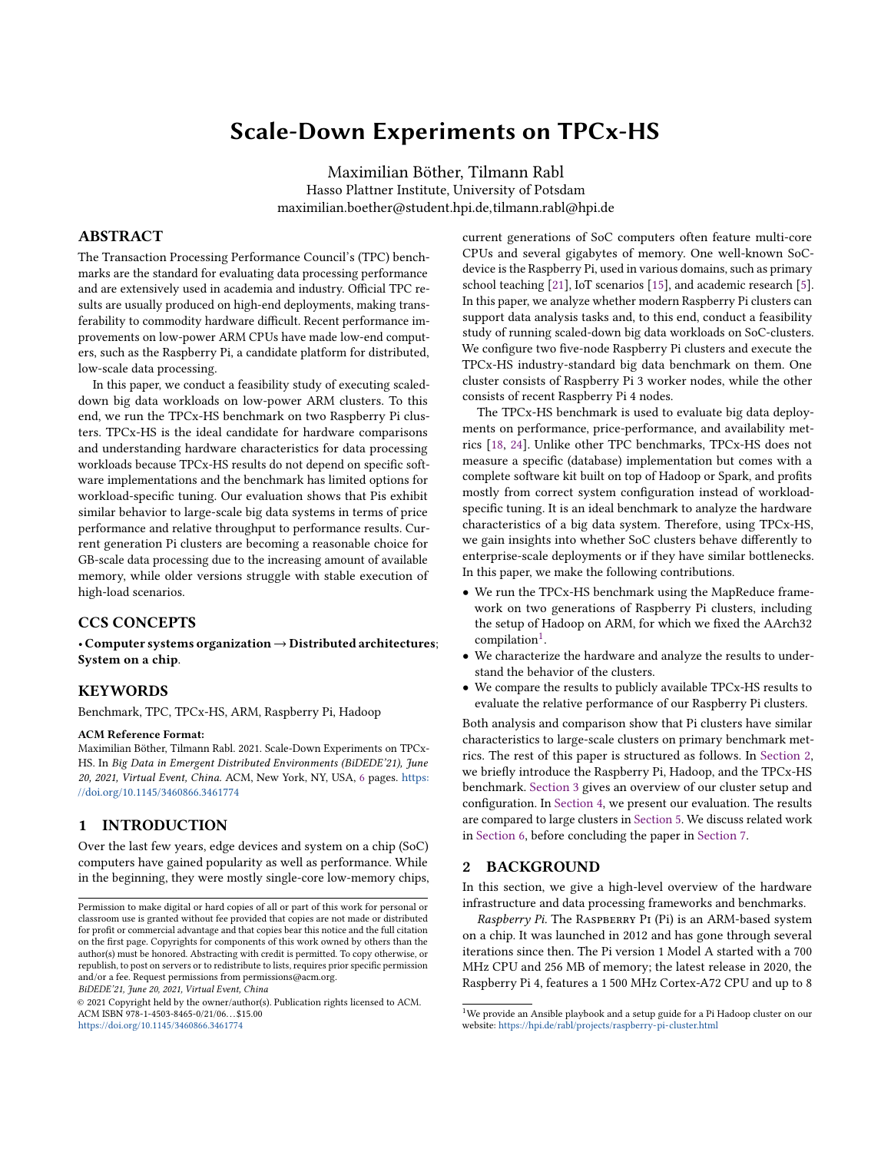# Scale-Down Experiments on TPCx-HS

Maximilian Böther, Tilmann Rabl Hasso Plattner Institute, University of Potsdam maximilian.boether@student.hpi.de,tilmann.rabl@hpi.de

# ABSTRACT

The Transaction Processing Performance Council's (TPC) benchmarks are the standard for evaluating data processing performance and are extensively used in academia and industry. Official TPC results are usually produced on high-end deployments, making transferability to commodity hardware difficult. Recent performance improvements on low-power ARM CPUs have made low-end computers, such as the Raspberry Pi, a candidate platform for distributed, low-scale data processing.

In this paper, we conduct a feasibility study of executing scaleddown big data workloads on low-power ARM clusters. To this end, we run the TPCx-HS benchmark on two Raspberry Pi clusters. TPCx-HS is the ideal candidate for hardware comparisons and understanding hardware characteristics for data processing workloads because TPCx-HS results do not depend on specific software implementations and the benchmark has limited options for workload-specific tuning. Our evaluation shows that Pis exhibit similar behavior to large-scale big data systems in terms of price performance and relative throughput to performance results. Current generation Pi clusters are becoming a reasonable choice for GB-scale data processing due to the increasing amount of available memory, while older versions struggle with stable execution of high-load scenarios.

# CCS CONCEPTS

• Computer systems organization→Distributed architectures; System on a chip.

# **KEYWORDS**

Benchmark, TPC, TPCx-HS, ARM, Raspberry Pi, Hadoop

#### ACM Reference Format:

Maximilian Böther, Tilmann Rabl. 2021. Scale-Down Experiments on TPCx-HS. In Big Data in Emergent Distributed Environments (BiDEDE'21), June 20, 2021, Virtual Event, China. ACM, New York, NY, USA, [6](#page-5-0) pages. [https:](https://doi.org/10.1145/3460866.3461774) [//doi.org/10.1145/3460866.3461774](https://doi.org/10.1145/3460866.3461774)

# 1 INTRODUCTION

Over the last few years, edge devices and system on a chip (SoC) computers have gained popularity as well as performance. While in the beginning, they were mostly single-core low-memory chips,

BiDEDE'21, June 20, 2021, Virtual Event, China

© 2021 Copyright held by the owner/author(s). Publication rights licensed to ACM. ACM ISBN 978-1-4503-8465-0/21/06. . . \$15.00 <https://doi.org/10.1145/3460866.3461774>

current generations of SoC computers often feature multi-core CPUs and several gigabytes of memory. One well-known SoCdevice is the Raspberry Pi, used in various domains, such as primary school teaching [\[21\]](#page-5-1), IoT scenarios [\[15\]](#page-5-2), and academic research [\[5\]](#page-5-3). In this paper, we analyze whether modern Raspberry Pi clusters can support data analysis tasks and, to this end, conduct a feasibility study of running scaled-down big data workloads on SoC-clusters. We configure two five-node Raspberry Pi clusters and execute the TPCx-HS industry-standard big data benchmark on them. One cluster consists of Raspberry Pi 3 worker nodes, while the other consists of recent Raspberry Pi 4 nodes.

The TPCx-HS benchmark is used to evaluate big data deployments on performance, price-performance, and availability metrics [\[18,](#page-5-4) [24\]](#page-5-5). Unlike other TPC benchmarks, TPCx-HS does not measure a specific (database) implementation but comes with a complete software kit built on top of Hadoop or Spark, and profits mostly from correct system configuration instead of workloadspecific tuning. It is an ideal benchmark to analyze the hardware characteristics of a big data system. Therefore, using TPCx-HS, we gain insights into whether SoC clusters behave differently to enterprise-scale deployments or if they have similar bottlenecks. In this paper, we make the following contributions.

- We run the TPCx-HS benchmark using the MapReduce framework on two generations of Raspberry Pi clusters, including the setup of Hadoop on ARM, for which we fixed the AArch32 compilation<sup>[1](#page-0-0)</sup>.
- We characterize the hardware and analyze the results to understand the behavior of the clusters.
- We compare the results to publicly available TPCx-HS results to evaluate the relative performance of our Raspberry Pi clusters.

Both analysis and comparison show that Pi clusters have similar characteristics to large-scale clusters on primary benchmark metrics. The rest of this paper is structured as follows. In [Section 2,](#page-0-1) we briefly introduce the Raspberry Pi, Hadoop, and the TPCx-HS benchmark. [Section 3](#page-1-0) gives an overview of our cluster setup and configuration. In [Section 4,](#page-2-0) we present our evaluation. The results are compared to large clusters in [Section 5.](#page-4-0) We discuss related work in [Section 6,](#page-5-6) before concluding the paper in [Section 7.](#page-5-7)

#### <span id="page-0-1"></span>2 BACKGROUND

In this section, we give a high-level overview of the hardware infrastructure and data processing frameworks and benchmarks.

Raspberry Pi. The RASPBERRY PI (Pi) is an ARM-based system on a chip. It was launched in 2012 and has gone through several iterations since then. The Pi version 1 Model A started with a 700 MHz CPU and 256 MB of memory; the latest release in 2020, the Raspberry Pi 4, features a 1 500 MHz Cortex-A72 CPU and up to 8

Permission to make digital or hard copies of all or part of this work for personal or classroom use is granted without fee provided that copies are not made or distributed for profit or commercial advantage and that copies bear this notice and the full citation on the first page. Copyrights for components of this work owned by others than the author(s) must be honored. Abstracting with credit is permitted. To copy otherwise, or republish, to post on servers or to redistribute to lists, requires prior specific permission and/or a fee. Request permissions from permissions@acm.org.

<span id="page-0-0"></span> $^{1}$  We provide an Ansible playbook and a setup guide for a Pi Hadoop cluster on our website: <https://hpi.de/rabl/projects/raspberry-pi-cluster.html>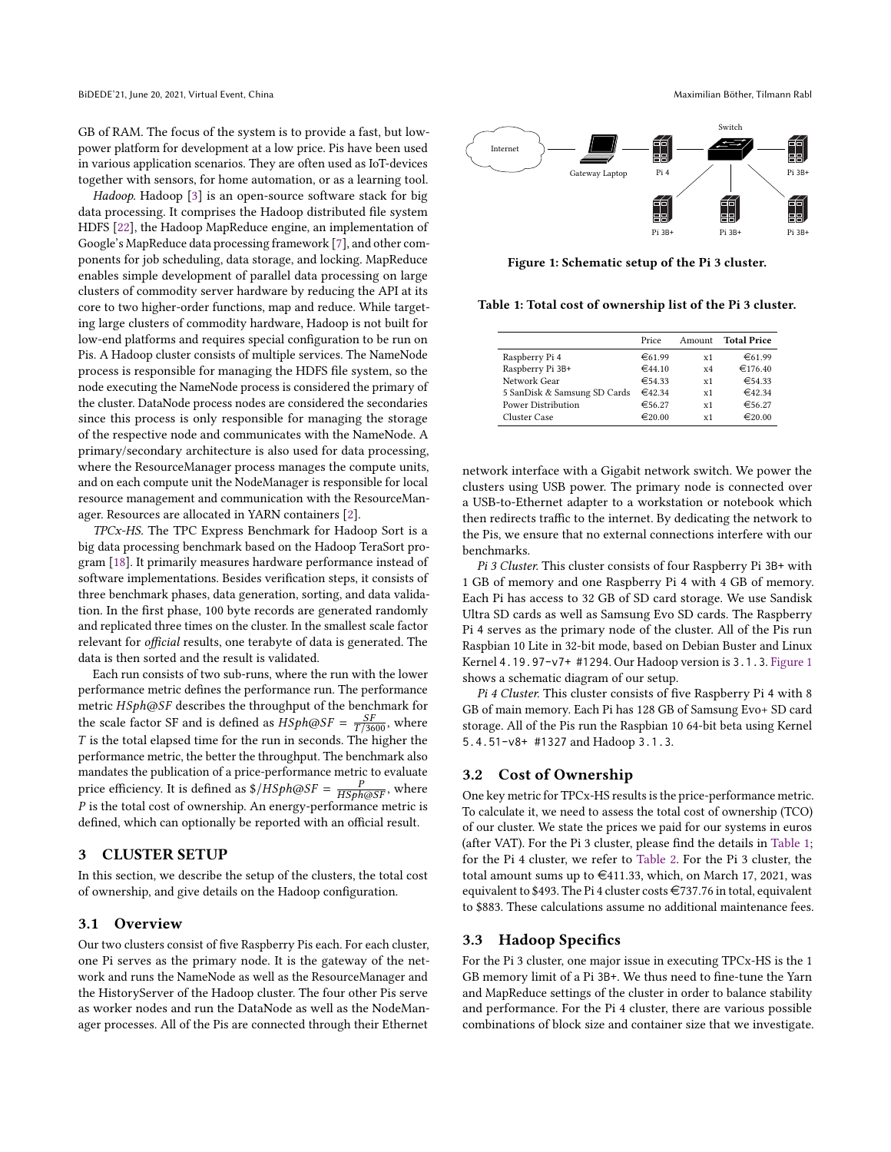GB of RAM. The focus of the system is to provide a fast, but lowpower platform for development at a low price. Pis have been used in various application scenarios. They are often used as IoT-devices together with sensors, for home automation, or as a learning tool.

Hadoop. Hadoop [\[3\]](#page-5-8) is an open-source software stack for big data processing. It comprises the Hadoop distributed file system HDFS [\[22\]](#page-5-9), the Hadoop MapReduce engine, an implementation of Google's MapReduce data processing framework [\[7\]](#page-5-10), and other components for job scheduling, data storage, and locking. MapReduce enables simple development of parallel data processing on large clusters of commodity server hardware by reducing the API at its core to two higher-order functions, map and reduce. While targeting large clusters of commodity hardware, Hadoop is not built for low-end platforms and requires special configuration to be run on Pis. A Hadoop cluster consists of multiple services. The NameNode process is responsible for managing the HDFS file system, so the node executing the NameNode process is considered the primary of the cluster. DataNode process nodes are considered the secondaries since this process is only responsible for managing the storage of the respective node and communicates with the NameNode. A primary/secondary architecture is also used for data processing, where the ResourceManager process manages the compute units, and on each compute unit the NodeManager is responsible for local resource management and communication with the ResourceManager. Resources are allocated in YARN containers [\[2\]](#page-5-11).

TPCx-HS. The TPC Express Benchmark for Hadoop Sort is a big data processing benchmark based on the Hadoop TeraSort program [\[18\]](#page-5-4). It primarily measures hardware performance instead of software implementations. Besides verification steps, it consists of three benchmark phases, data generation, sorting, and data validation. In the first phase, 100 byte records are generated randomly and replicated three times on the cluster. In the smallest scale factor relevant for official results, one terabyte of data is generated. The data is then sorted and the result is validated.

Each run consists of two sub-runs, where the run with the lower performance metric defines the performance run. The performance metric HSph@SF describes the throughput of the benchmark for the scale factor SF and is defined as  $HSph@SF = \frac{SF}{T/3600}$ , where  $T$  is the total elapsed time for the run in seconds. The higher the performance metric, the better the throughput. The benchmark also mandates the publication of a price-performance metric to evaluate price efficiency. It is defined as  $\frac{1}{A}$   $\frac{1}{A}$   $\frac{1}{A}$   $\frac{1}{B}$   $\frac{1}{B}$   $\frac{1}{B}$   $\frac{1}{B}$   $\frac{1}{B}$   $\frac{1}{B}$   $\frac{1}{B}$   $\frac{1}{B}$   $\frac{1}{B}$   $\frac{1}{B}$   $\frac{1}{B}$   $\frac{1}{B}$   $\frac{1}{B}$   $\frac{1}{B}$   $\frac{1}{B}$   $\frac{1}{$  $P$  is the total cost of ownership. An energy-performance metric is defined, which can optionally be reported with an official result.

# <span id="page-1-0"></span>3 CLUSTER SETUP

In this section, we describe the setup of the clusters, the total cost of ownership, and give details on the Hadoop configuration.

#### 3.1 Overview

Our two clusters consist of five Raspberry Pis each. For each cluster, one Pi serves as the primary node. It is the gateway of the network and runs the NameNode as well as the ResourceManager and the HistoryServer of the Hadoop cluster. The four other Pis serve as worker nodes and run the DataNode as well as the NodeManager processes. All of the Pis are connected through their Ethernet

<span id="page-1-1"></span>

Figure 1: Schematic setup of the Pi 3 cluster.

<span id="page-1-2"></span>Table 1: Total cost of ownership list of the Pi 3 cluster.

|                              | Price  | Amount | <b>Total Price</b> |
|------------------------------|--------|--------|--------------------|
| Raspberry Pi 4               | €61.99 | x1     | €61.99             |
| Raspberry Pi 3B+             | €44.10 | x4     | €176.40            |
| Network Gear                 | €54.33 | x1     | €54.33             |
| 5 SanDisk & Samsung SD Cards | €42.34 | x1     | $\in$ 42.34        |
| <b>Power Distribution</b>    | €56.27 | x1     | €56.27             |
| Cluster Case                 | €20.00 | x1     | €20.00             |

network interface with a Gigabit network switch. We power the clusters using USB power. The primary node is connected over a USB-to-Ethernet adapter to a workstation or notebook which then redirects traffic to the internet. By dedicating the network to the Pis, we ensure that no external connections interfere with our benchmarks.

Pi 3 Cluster. This cluster consists of four Raspberry Pi 3B+ with 1 GB of memory and one Raspberry Pi 4 with 4 GB of memory. Each Pi has access to 32 GB of SD card storage. We use Sandisk Ultra SD cards as well as Samsung Evo SD cards. The Raspberry Pi 4 serves as the primary node of the cluster. All of the Pis run Raspbian 10 Lite in 32-bit mode, based on Debian Buster and Linux Kernel 4.19.97-v7+ #1294. Our Hadoop version is 3.1.3. [Figure 1](#page-1-1) shows a schematic diagram of our setup.

Pi 4 Cluster. This cluster consists of five Raspberry Pi 4 with 8 GB of main memory. Each Pi has 128 GB of Samsung Evo+ SD card storage. All of the Pis run the Raspbian 10 64-bit beta using Kernel 5.4.51-v8+ #1327 and Hadoop 3.1.3.

# 3.2 Cost of Ownership

One key metric for TPCx-HS results is the price-performance metric. To calculate it, we need to assess the total cost of ownership (TCO) of our cluster. We state the prices we paid for our systems in euros (after VAT). For the Pi 3 cluster, please find the details in [Table 1;](#page-1-2) for the Pi 4 cluster, we refer to [Table 2.](#page-2-1) For the Pi 3 cluster, the total amount sums up to  $\in$ 411.33, which, on March 17, 2021, was equivalent to \$493. The Pi 4 cluster costs  $\in$ 737.76 in total, equivalent to \$883. These calculations assume no additional maintenance fees.

#### <span id="page-1-3"></span>3.3 Hadoop Specifics

For the Pi 3 cluster, one major issue in executing TPCx-HS is the 1 GB memory limit of a Pi 3B+. We thus need to fine-tune the Yarn and MapReduce settings of the cluster in order to balance stability and performance. For the Pi 4 cluster, there are various possible combinations of block size and container size that we investigate.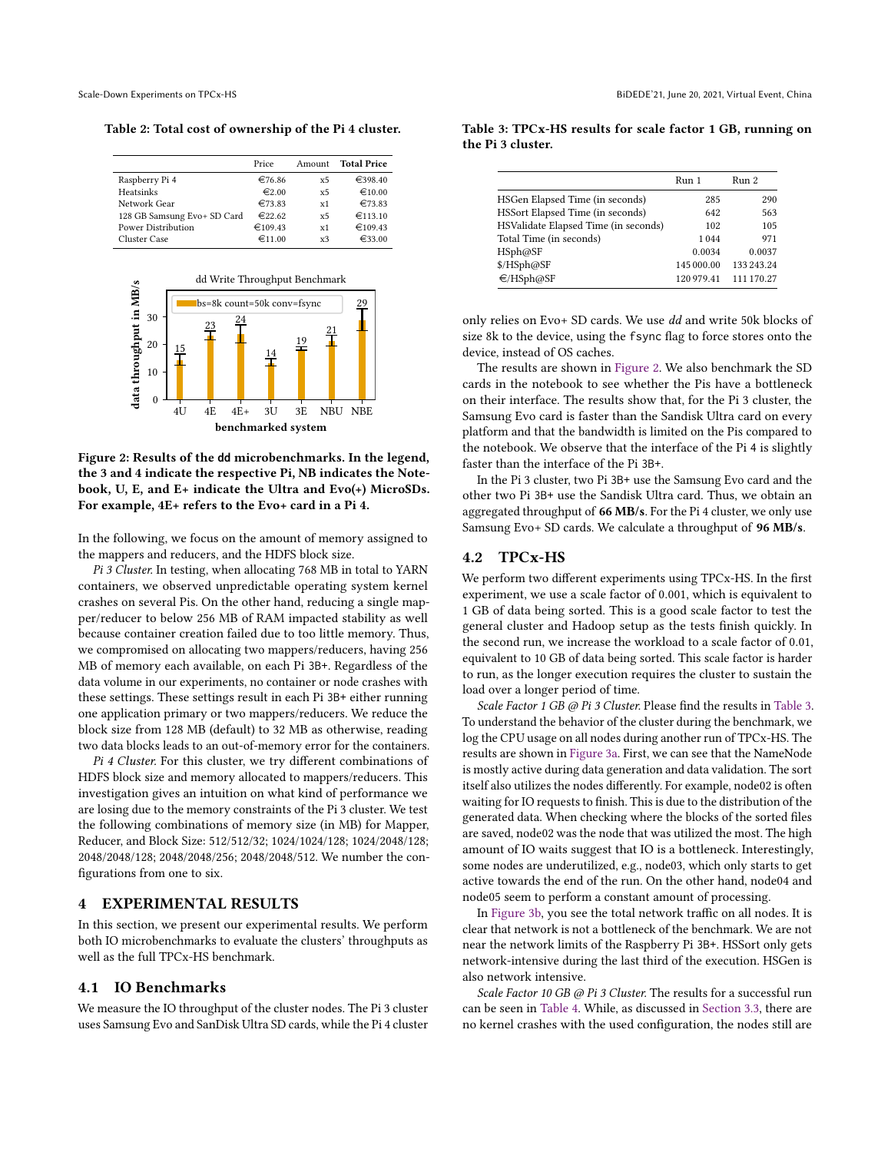<span id="page-2-1"></span>Table 2: Total cost of ownership of the Pi 4 cluster.

|                             | Price           | Amount         | <b>Total Price</b> |
|-----------------------------|-----------------|----------------|--------------------|
| Raspberry Pi 4              | €76.86          | x <sub>5</sub> | €398.40            |
| Heatsinks                   | $\epsilon$ 2.00 | x <sub>5</sub> | €10.00             |
| Network Gear                | €73.83          | x1             | €73.83             |
| 128 GB Samsung Evo+ SD Card | €22.62          | x <sub>5</sub> | €113.10            |
| <b>Power Distribution</b>   | €109.43         | x1             | €109.43            |
| Cluster Case                | €11.00          | x <sup>2</sup> | €33.00             |

<span id="page-2-2"></span>

Figure 2: Results of the **dd** microbenchmarks. In the legend, the 3 and 4 indicate the respective Pi, NB indicates the Notebook, U, E, and E+ indicate the Ultra and Evo(+) MicroSDs. For example, 4E+ refers to the Evo+ card in a Pi 4.

In the following, we focus on the amount of memory assigned to the mappers and reducers, and the HDFS block size.

Pi 3 Cluster. In testing, when allocating 768 MB in total to YARN containers, we observed unpredictable operating system kernel crashes on several Pis. On the other hand, reducing a single mapper/reducer to below 256 MB of RAM impacted stability as well because container creation failed due to too little memory. Thus, we compromised on allocating two mappers/reducers, having 256 MB of memory each available, on each Pi 3B+. Regardless of the data volume in our experiments, no container or node crashes with these settings. These settings result in each Pi 3B+ either running one application primary or two mappers/reducers. We reduce the block size from 128 MB (default) to 32 MB as otherwise, reading two data blocks leads to an out-of-memory error for the containers.

Pi 4 Cluster. For this cluster, we try different combinations of HDFS block size and memory allocated to mappers/reducers. This investigation gives an intuition on what kind of performance we are losing due to the memory constraints of the Pi 3 cluster. We test the following combinations of memory size (in MB) for Mapper, Reducer, and Block Size: 512/512/32; 1024/1024/128; 1024/2048/128; 2048/2048/128; 2048/2048/256; 2048/2048/512. We number the configurations from one to six.

# <span id="page-2-0"></span>4 EXPERIMENTAL RESULTS

In this section, we present our experimental results. We perform both IO microbenchmarks to evaluate the clusters' throughputs as well as the full TPCx-HS benchmark.

### 4.1 IO Benchmarks

We measure the IO throughput of the cluster nodes. The Pi 3 cluster uses Samsung Evo and SanDisk Ultra SD cards, while the Pi 4 cluster

|                                      | Run 1      | Run 2      |
|--------------------------------------|------------|------------|
| HSGen Elapsed Time (in seconds)      | 285        | 290        |
| HSSort Elapsed Time (in seconds)     | 642        | 563        |
| HSValidate Elapsed Time (in seconds) | 102        | 105        |
| Total Time (in seconds)              | 1044       | 971        |
| HSph@SF                              | 0.0034     | 0.0037     |
| \$/HSph@SF                           | 145 000.00 | 133 243 24 |
| €/HSph@SF                            | 120 979.41 | 111 170.27 |

<span id="page-2-3"></span>Table 3: TPCx-HS results for scale factor 1 GB, running on the Pi 3 cluster.

only relies on Evo+ SD cards. We use dd and write 50k blocks of size 8k to the device, using the fsync flag to force stores onto the device, instead of OS caches.

The results are shown in [Figure 2.](#page-2-2) We also benchmark the SD cards in the notebook to see whether the Pis have a bottleneck on their interface. The results show that, for the Pi 3 cluster, the Samsung Evo card is faster than the Sandisk Ultra card on every platform and that the bandwidth is limited on the Pis compared to the notebook. We observe that the interface of the Pi 4 is slightly faster than the interface of the Pi 3B+.

In the Pi 3 cluster, two Pi 3B+ use the Samsung Evo card and the other two Pi 3B+ use the Sandisk Ultra card. Thus, we obtain an aggregated throughput of 66 MB/s. For the Pi 4 cluster, we only use Samsung Evo+ SD cards. We calculate a throughput of 96 MB/s.

## 4.2 TPCx-HS

We perform two different experiments using TPCx-HS. In the first experiment, we use a scale factor of 0.001, which is equivalent to 1 GB of data being sorted. This is a good scale factor to test the general cluster and Hadoop setup as the tests finish quickly. In the second run, we increase the workload to a scale factor of 0.01, equivalent to 10 GB of data being sorted. This scale factor is harder to run, as the longer execution requires the cluster to sustain the load over a longer period of time.

Scale Factor 1 GB @ Pi 3 Cluster. Please find the results in [Table 3.](#page-2-3) To understand the behavior of the cluster during the benchmark, we log the CPU usage on all nodes during another run of TPCx-HS. The results are shown in [Figure 3a.](#page-3-0) First, we can see that the NameNode is mostly active during data generation and data validation. The sort itself also utilizes the nodes differently. For example, node02 is often waiting for IO requests to finish. This is due to the distribution of the generated data. When checking where the blocks of the sorted files are saved, node02 was the node that was utilized the most. The high amount of IO waits suggest that IO is a bottleneck. Interestingly, some nodes are underutilized, e.g., node03, which only starts to get active towards the end of the run. On the other hand, node04 and node05 seem to perform a constant amount of processing.

In [Figure 3b,](#page-3-1) you see the total network traffic on all nodes. It is clear that network is not a bottleneck of the benchmark. We are not near the network limits of the Raspberry Pi 3B+. HSSort only gets network-intensive during the last third of the execution. HSGen is also network intensive.

Scale Factor 10 GB @ Pi 3 Cluster. The results for a successful run can be seen in [Table 4.](#page-3-2) While, as discussed in [Section 3.3,](#page-1-3) there are no kernel crashes with the used configuration, the nodes still are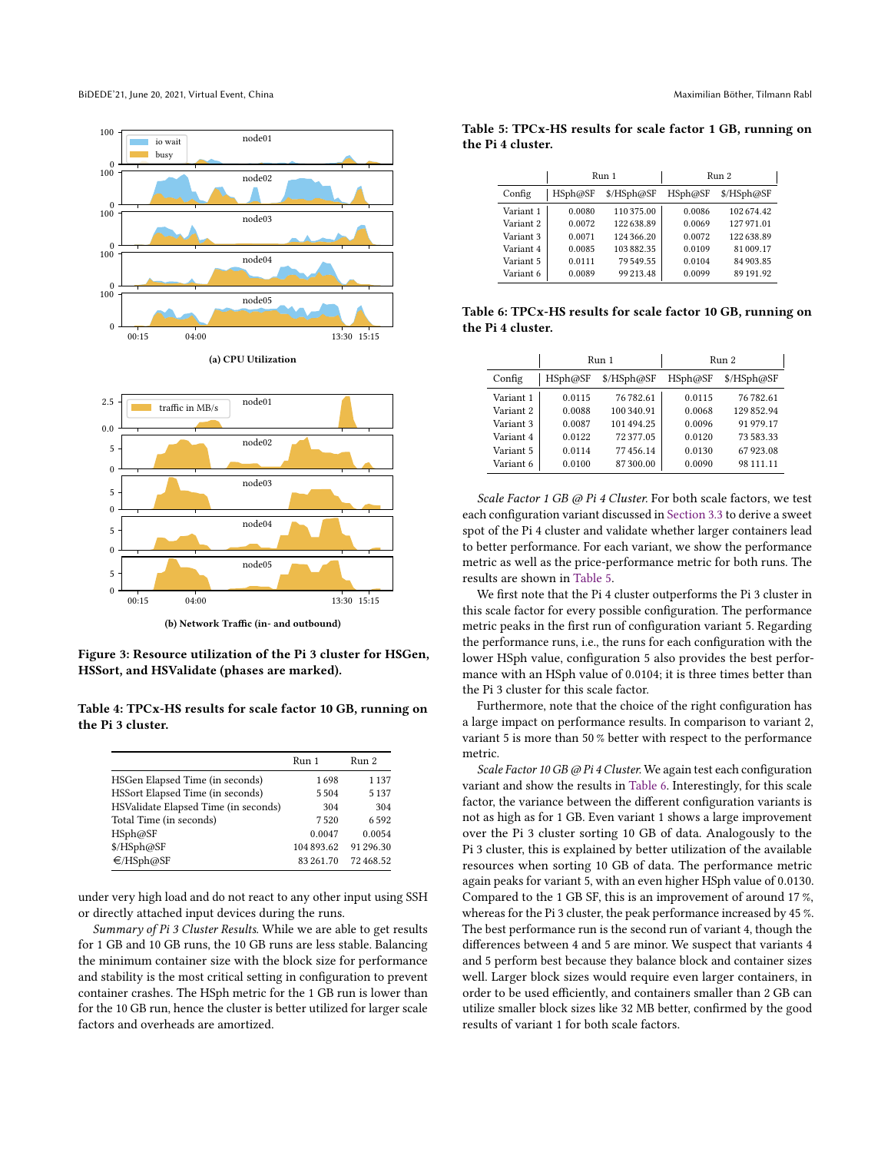<span id="page-3-0"></span>

<span id="page-3-1"></span>

(b) Network Traffic (in- and outbound)

Figure 3: Resource utilization of the Pi 3 cluster for HSGen, HSSort, and HSValidate (phases are marked).

<span id="page-3-2"></span>Table 4: TPCx-HS results for scale factor 10 GB, running on the Pi 3 cluster.

|                                      | Run 1      | Run 2     |
|--------------------------------------|------------|-----------|
| HSGen Elapsed Time (in seconds)      | 1698       | 1 1 3 7   |
| HSSort Elapsed Time (in seconds)     | 5504       | 5 1 3 7   |
| HSValidate Elapsed Time (in seconds) | 304        | 304       |
| Total Time (in seconds)              | 7520       | 6592      |
| HSph@SF                              | 0.0047     | 0.0054    |
| \$/HSph@SF                           | 104 893.62 | 91 296.30 |
| €/HSph@SF                            | 83 261.70  | 72468.52  |
|                                      |            |           |

under very high load and do not react to any other input using SSH or directly attached input devices during the runs.

Summary of Pi 3 Cluster Results. While we are able to get results for 1 GB and 10 GB runs, the 10 GB runs are less stable. Balancing the minimum container size with the block size for performance and stability is the most critical setting in configuration to prevent container crashes. The HSph metric for the 1 GB run is lower than for the 10 GB run, hence the cluster is better utilized for larger scale factors and overheads are amortized.

|           | Run 1     |            | Run 2   |            |
|-----------|-----------|------------|---------|------------|
| Config    | HSph@SF   | \$/HSph@SF | HSph@SF | \$/HSph@SF |
| Variant 1 | 0.0080    | 110 375.00 | 0.0086  | 102674.42  |
| Variant 2 | 0.0072    | 122638.89  | 0.0069  | 127 971.01 |
| Variant 3 | 0.0071    | 124 366.20 | 0.0072  | 122638.89  |
| Variant 4 | 0.0085    | 103882.35  | 0.0109  | 81 009.17  |
| Variant 5 | 0 0 1 1 1 | 79 549.55  | 0.0104  | 84 903.85  |
| Variant 6 | 0.0089    | 99 213.48  | 0.0099  | 89 191.92  |

<span id="page-3-3"></span>Table 5: TPCx-HS results for scale factor 1 GB, running on the Pi 4 cluster.

<span id="page-3-4"></span>Table 6: TPCx-HS results for scale factor 10 GB, running on the Pi 4 cluster.

|           | Run 1   |            | Run 2   |            |
|-----------|---------|------------|---------|------------|
| Config    | HSph@SF | \$/HSph@SF | HSph@SF | \$/HSph@SF |
| Variant 1 | 0.0115  | 76782.61   | 0.0115  | 76 782.61  |
| Variant 2 | 0.0088  | 100 340.91 | 0.0068  | 129852.94  |
| Variant 3 | 0.0087  | 101 494.25 | 0.0096  | 91 979.17  |
| Variant 4 | 0.0122  | 72377.05   | 0.0120  | 73 583 33  |
| Variant 5 | 0.0114  | 77456.14   | 0.0130  | 67923.08   |
| Variant 6 | 0.0100  | 87300.00   | 0.0090  | 98 111.11  |

Scale Factor 1 GB @ Pi 4 Cluster. For both scale factors, we test each configuration variant discussed in [Section 3.3](#page-1-3) to derive a sweet spot of the Pi 4 cluster and validate whether larger containers lead to better performance. For each variant, we show the performance metric as well as the price-performance metric for both runs. The results are shown in [Table 5.](#page-3-3)

We first note that the Pi 4 cluster outperforms the Pi 3 cluster in this scale factor for every possible configuration. The performance metric peaks in the first run of configuration variant 5. Regarding the performance runs, i.e., the runs for each configuration with the lower HSph value, configuration 5 also provides the best performance with an HSph value of 0.0104; it is three times better than the Pi 3 cluster for this scale factor.

Furthermore, note that the choice of the right configuration has a large impact on performance results. In comparison to variant 2, variant 5 is more than 50 % better with respect to the performance metric.

Scale Factor 10 GB @ Pi 4 Cluster. We again test each configuration variant and show the results in [Table 6.](#page-3-4) Interestingly, for this scale factor, the variance between the different configuration variants is not as high as for 1 GB. Even variant 1 shows a large improvement over the Pi 3 cluster sorting 10 GB of data. Analogously to the Pi 3 cluster, this is explained by better utilization of the available resources when sorting 10 GB of data. The performance metric again peaks for variant 5, with an even higher HSph value of 0.0130. Compared to the 1 GB SF, this is an improvement of around 17 %, whereas for the Pi 3 cluster, the peak performance increased by 45 %. The best performance run is the second run of variant 4, though the differences between 4 and 5 are minor. We suspect that variants 4 and 5 perform best because they balance block and container sizes well. Larger block sizes would require even larger containers, in order to be used efficiently, and containers smaller than 2 GB can utilize smaller block sizes like 32 MB better, confirmed by the good results of variant 1 for both scale factors.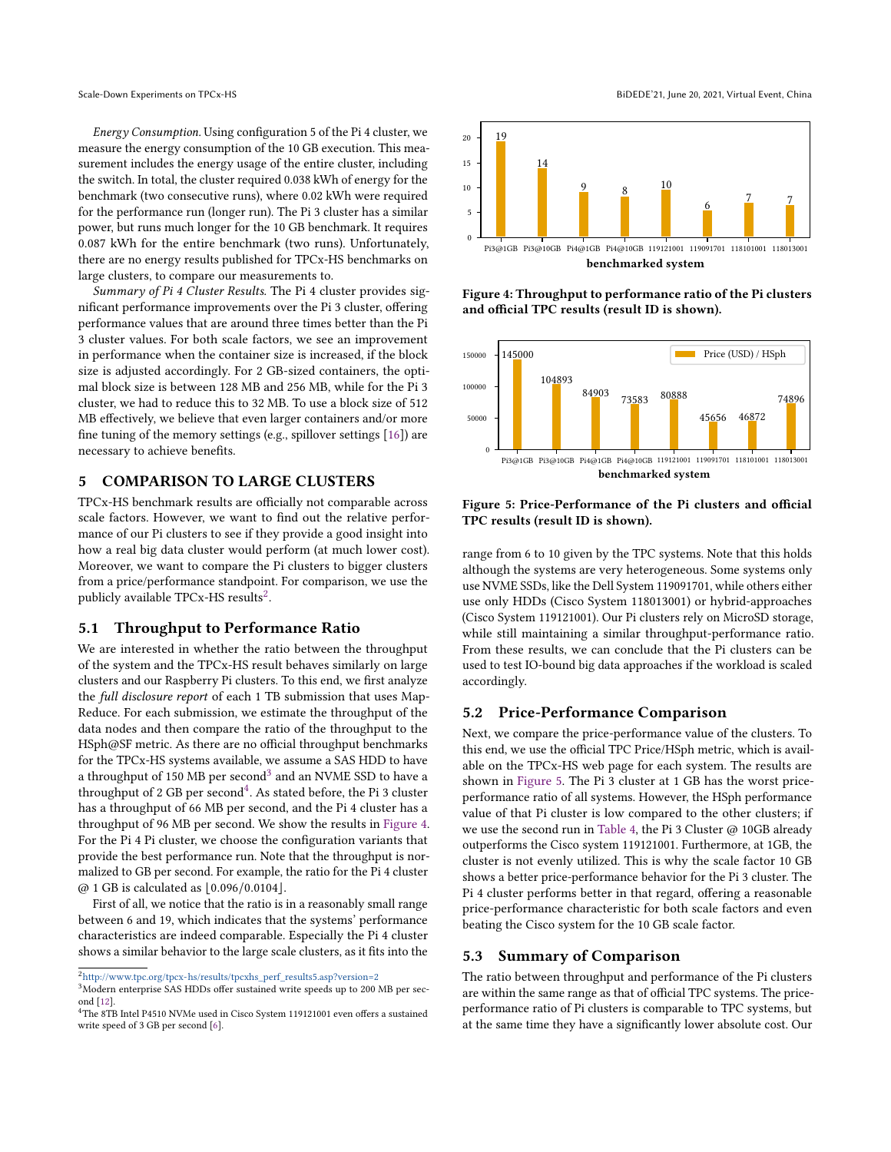Energy Consumption. Using configuration 5 of the Pi 4 cluster, we measure the energy consumption of the 10 GB execution. This measurement includes the energy usage of the entire cluster, including the switch. In total, the cluster required 0.038 kWh of energy for the benchmark (two consecutive runs), where 0.02 kWh were required for the performance run (longer run). The Pi 3 cluster has a similar power, but runs much longer for the 10 GB benchmark. It requires 0.087 kWh for the entire benchmark (two runs). Unfortunately, there are no energy results published for TPCx-HS benchmarks on large clusters, to compare our measurements to.

Summary of Pi 4 Cluster Results. The Pi 4 cluster provides significant performance improvements over the Pi 3 cluster, offering performance values that are around three times better than the Pi 3 cluster values. For both scale factors, we see an improvement in performance when the container size is increased, if the block size is adjusted accordingly. For 2 GB-sized containers, the optimal block size is between 128 MB and 256 MB, while for the Pi 3 cluster, we had to reduce this to 32 MB. To use a block size of 512 MB effectively, we believe that even larger containers and/or more fine tuning of the memory settings (e.g., spillover settings [\[16\]](#page-5-12)) are necessary to achieve benefits.

# <span id="page-4-0"></span>5 COMPARISON TO LARGE CLUSTERS

TPCx-HS benchmark results are officially not comparable across scale factors. However, we want to find out the relative performance of our Pi clusters to see if they provide a good insight into how a real big data cluster would perform (at much lower cost). Moreover, we want to compare the Pi clusters to bigger clusters from a price/performance standpoint. For comparison, we use the publicly available TPCx-HS results $^2$  $^2$ .

#### 5.1 Throughput to Performance Ratio

We are interested in whether the ratio between the throughput of the system and the TPCx-HS result behaves similarly on large clusters and our Raspberry Pi clusters. To this end, we first analyze the full disclosure report of each 1 TB submission that uses Map-Reduce. For each submission, we estimate the throughput of the data nodes and then compare the ratio of the throughput to the HSph@SF metric. As there are no official throughput benchmarks for the TPCx-HS systems available, we assume a SAS HDD to have a throughput of 150 MB per second $^3$  $^3$  and an NVME SSD to have a throughput of 2 GB per second $^4$  $^4$ . As stated before, the Pi 3 cluster has a throughput of 66 MB per second, and the Pi 4 cluster has a throughput of 96 MB per second. We show the results in [Figure 4.](#page-4-4) For the Pi 4 Pi cluster, we choose the configuration variants that provide the best performance run. Note that the throughput is normalized to GB per second. For example, the ratio for the Pi 4 cluster  $@1$  GB is calculated as  $|0.096/0.0104|$ .

First of all, we notice that the ratio is in a reasonably small range between 6 and 19, which indicates that the systems' performance characteristics are indeed comparable. Especially the Pi 4 cluster shows a similar behavior to the large scale clusters, as it fits into the

Scale-Down Experiments on TPCx-HS BiDEDE'21, June 20, 2021, Virtual Event, China

<span id="page-4-4"></span>

Figure 4: Throughput to performance ratio of the Pi clusters and official TPC results (result ID is shown).

<span id="page-4-5"></span>

# Figure 5: Price-Performance of the Pi clusters and official TPC results (result ID is shown).

range from 6 to 10 given by the TPC systems. Note that this holds although the systems are very heterogeneous. Some systems only use NVME SSDs, like the Dell System 119091701, while others either use only HDDs (Cisco System 118013001) or hybrid-approaches (Cisco System 119121001). Our Pi clusters rely on MicroSD storage, while still maintaining a similar throughput-performance ratio. From these results, we can conclude that the Pi clusters can be used to test IO-bound big data approaches if the workload is scaled accordingly.

#### 5.2 Price-Performance Comparison

Next, we compare the price-performance value of the clusters. To this end, we use the official TPC Price/HSph metric, which is available on the TPCx-HS web page for each system. The results are shown in [Figure 5.](#page-4-5) The Pi 3 cluster at 1 GB has the worst priceperformance ratio of all systems. However, the HSph performance value of that Pi cluster is low compared to the other clusters; if we use the second run in [Table 4,](#page-3-2) the Pi 3 Cluster @ 10GB already outperforms the Cisco system 119121001. Furthermore, at 1GB, the cluster is not evenly utilized. This is why the scale factor 10 GB shows a better price-performance behavior for the Pi 3 cluster. The Pi 4 cluster performs better in that regard, offering a reasonable price-performance characteristic for both scale factors and even beating the Cisco system for the 10 GB scale factor.

## 5.3 Summary of Comparison

The ratio between throughput and performance of the Pi clusters are within the same range as that of official TPC systems. The priceperformance ratio of Pi clusters is comparable to TPC systems, but at the same time they have a significantly lower absolute cost. Our

<span id="page-4-1"></span> $^2$ [http://www.tpc.org/tpcx-hs/results/tpcxhs\\_perf\\_results5.asp?version=2](http://www.tpc.org/tpcx-hs/results/tpcxhs_perf_results5.asp?version=2)

<span id="page-4-2"></span><sup>3</sup>Modern enterprise SAS HDDs offer sustained write speeds up to 200 MB per second [\[12\]](#page-5-13).

<span id="page-4-3"></span><sup>4</sup>The 8TB Intel P4510 NVMe used in Cisco System 119121001 even offers a sustained write speed of 3 GB per second [\[6\]](#page-5-14).